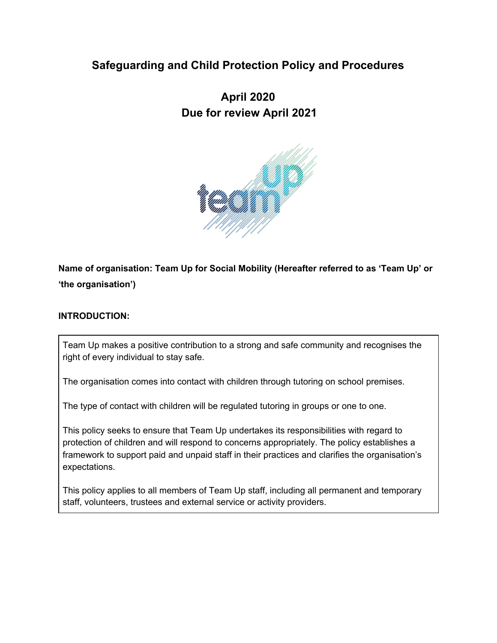## **Safeguarding and Child Protection Policy and Procedures**

# **April 2020 Due for review April 2021**



## **Name of organisation: Team Up for Social Mobility (Hereafter referred to as 'Team Up' or 'the organisation')**

#### **INTRODUCTION:**

Team Up makes a positive contribution to a strong and safe community and recognises the right of every individual to stay safe.

The organisation comes into contact with children through tutoring on school premises.

The type of contact with children will be regulated tutoring in groups or one to one.

This policy seeks to ensure that Team Up undertakes its responsibilities with regard to protection of children and will respond to concerns appropriately. The policy establishes a framework to support paid and unpaid staff in their practices and clarifies the organisation's expectations.

This policy applies to all members of Team Up staff, including all permanent and temporary staff, volunteers, trustees and external service or activity providers.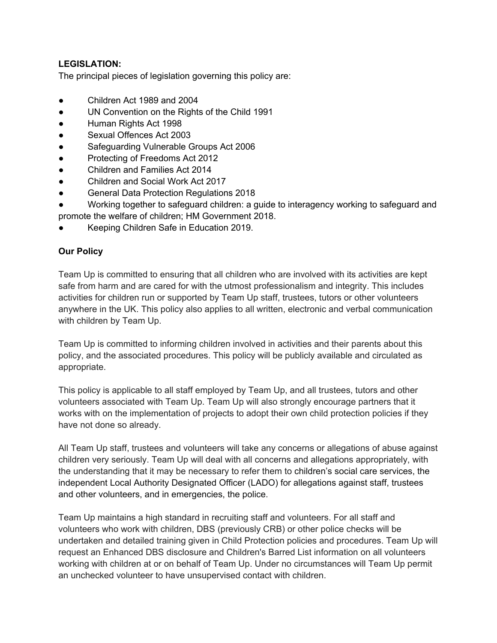## **LEGISLATION:**

The principal pieces of legislation governing this policy are:

- Children Act 1989 and 2004
- UN Convention on the Rights of the Child 1991
- Human Rights Act 1998
- Sexual Offences Act 2003
- Safeguarding Vulnerable Groups Act 2006
- Protecting of Freedoms Act 2012
- Children and Families Act 2014
- Children and Social Work Act 2017
- General Data Protection Regulations 2018
- Working together to safeguard children: a guide to interagency working to safeguard and promote the welfare of children; HM Government 2018.
- Keeping Children Safe in Education 2019.

## **Our Policy**

Team Up is committed to ensuring that all children who are involved with its activities are kept safe from harm and are cared for with the utmost professionalism and integrity. This includes activities for children run or supported by Team Up staff, trustees, tutors or other volunteers anywhere in the UK. This policy also applies to all written, electronic and verbal communication with children by Team Up.

Team Up is committed to informing children involved in activities and their parents about this policy, and the associated procedures. This policy will be publicly available and circulated as appropriate.

This policy is applicable to all staff employed by Team Up, and all trustees, tutors and other volunteers associated with Team Up. Team Up will also strongly encourage partners that it works with on the implementation of projects to adopt their own child protection policies if they have not done so already.

All Team Up staff, trustees and volunteers will take any concerns or allegations of abuse against children very seriously. Team Up will deal with all concerns and allegations appropriately, with the understanding that it may be necessary to refer them to children's social care services, the independent Local Authority Designated Officer (LADO) for allegations against staff, trustees and other volunteers, and in emergencies, the police.

Team Up maintains a high standard in recruiting staff and volunteers. For all staff and volunteers who work with children, DBS (previously CRB) or other police checks will be undertaken and detailed training given in Child Protection policies and procedures. Team Up will request an Enhanced DBS disclosure and Children's Barred List information on all volunteers working with children at or on behalf of Team Up. Under no circumstances will Team Up permit an unchecked volunteer to have unsupervised contact with children.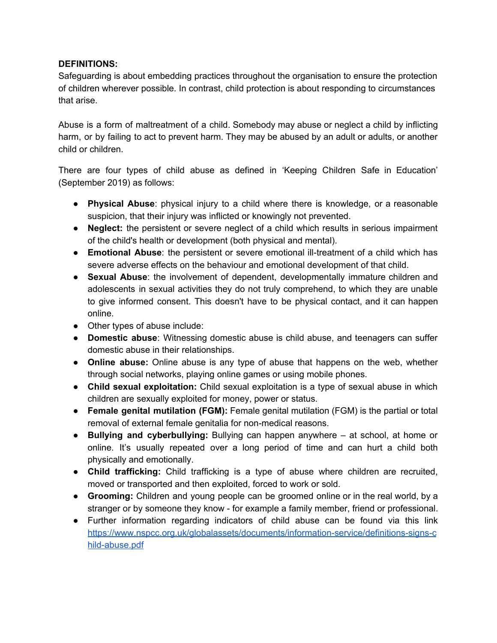#### **DEFINITIONS:**

Safeguarding is about embedding practices throughout the organisation to ensure the protection of children wherever possible. In contrast, child protection is about responding to circumstances that arise.

Abuse is a form of maltreatment of a child. Somebody may abuse or neglect a child by inflicting harm, or by failing to act to prevent harm. They may be abused by an adult or adults, or another child or children.

There are four types of child abuse as defined in 'Keeping Children Safe in Education' (September 2019) as follows:

- **Physical Abuse**: physical injury to a child where there is knowledge, or a reasonable suspicion, that their injury was inflicted or knowingly not prevented.
- **Neglect:** the persistent or severe neglect of a child which results in serious impairment of the child's health or development (both physical and mental).
- **Emotional Abuse**: the persistent or severe emotional ill-treatment of a child which has severe adverse effects on the behaviour and emotional development of that child.
- **Sexual Abuse**: the involvement of dependent, developmentally immature children and adolescents in sexual activities they do not truly comprehend, to which they are unable to give informed consent. This doesn't have to be physical contact, and it can happen online.
- Other types of abuse include:
- **Domestic abuse**: Witnessing domestic abuse is child abuse, and teenagers can suffer domestic abuse in their relationships.
- **Online abuse:** Online abuse is any type of abuse that happens on the web, whether through social networks, playing online games or using mobile phones.
- **Child sexual exploitation:** Child sexual exploitation is a type of sexual abuse in which children are sexually exploited for money, power or status.
- **Female genital mutilation (FGM):** Female genital mutilation (FGM) is the partial or total removal of external female genitalia for non-medical reasons.
- **Bullying and cyberbullying:** Bullying can happen anywhere at school, at home or online. It's usually repeated over a long period of time and can hurt a child both physically and emotionally.
- **Child trafficking:** Child trafficking is a type of abuse where children are recruited, moved or transported and then exploited, forced to work or sold.
- **Grooming:** Children and young people can be groomed online or in the real world, by a stranger or by someone they know - for example a family member, friend or professional.
- Further information regarding indicators of child abuse can be found via this link [https://www.nspcc.org.uk/globalassets/documents/information-service/definitions-signs-c](https://www.nspcc.org.uk/globalassets/documents/information-service/definitions-signs-child-abuse.pdf) [hild-abuse.pdf](https://www.nspcc.org.uk/globalassets/documents/information-service/definitions-signs-child-abuse.pdf)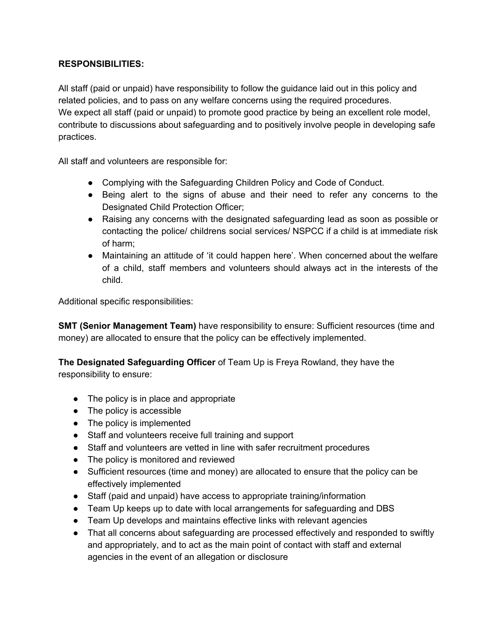## **RESPONSIBILITIES:**

All staff (paid or unpaid) have responsibility to follow the guidance laid out in this policy and related policies, and to pass on any welfare concerns using the required procedures. We expect all staff (paid or unpaid) to promote good practice by being an excellent role model, contribute to discussions about safeguarding and to positively involve people in developing safe practices.

All staff and volunteers are responsible for:

- Complying with the Safeguarding Children Policy and Code of Conduct.
- Being alert to the signs of abuse and their need to refer any concerns to the Designated Child Protection Officer;
- Raising any concerns with the designated safeguarding lead as soon as possible or contacting the police/ childrens social services/ NSPCC if a child is at immediate risk of harm;
- Maintaining an attitude of 'it could happen here'. When concerned about the welfare of a child, staff members and volunteers should always act in the interests of the child.

Additional specific responsibilities:

**SMT (Senior Management Team)** have responsibility to ensure: Sufficient resources (time and money) are allocated to ensure that the policy can be effectively implemented.

**The Designated Safeguarding Officer** of Team Up is Freya Rowland, they have the responsibility to ensure:

- The policy is in place and appropriate
- The policy is accessible
- The policy is implemented
- Staff and volunteers receive full training and support
- Staff and volunteers are vetted in line with safer recruitment procedures
- The policy is monitored and reviewed
- Sufficient resources (time and money) are allocated to ensure that the policy can be effectively implemented
- Staff (paid and unpaid) have access to appropriate training/information
- Team Up keeps up to date with local arrangements for safeguarding and DBS
- Team Up develops and maintains effective links with relevant agencies
- That all concerns about safeguarding are processed effectively and responded to swiftly and appropriately, and to act as the main point of contact with staff and external agencies in the event of an allegation or disclosure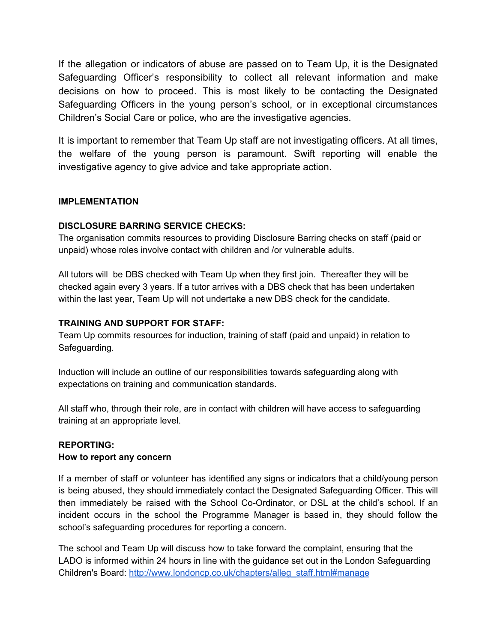If the allegation or indicators of abuse are passed on to Team Up, it is the Designated Safeguarding Officer's responsibility to collect all relevant information and make decisions on how to proceed. This is most likely to be contacting the Designated Safeguarding Officers in the young person's school, or in exceptional circumstances Children's Social Care or police, who are the investigative agencies.

It is important to remember that Team Up staff are not investigating officers. At all times, the welfare of the young person is paramount. Swift reporting will enable the investigative agency to give advice and take appropriate action.

#### **IMPLEMENTATION**

## **DISCLOSURE BARRING SERVICE CHECKS:**

The organisation commits resources to providing Disclosure Barring checks on staff (paid or unpaid) whose roles involve contact with children and /or vulnerable adults.

All tutors will be DBS checked with Team Up when they first join. Thereafter they will be checked again every 3 years. If a tutor arrives with a DBS check that has been undertaken within the last year, Team Up will not undertake a new DBS check for the candidate.

#### **TRAINING AND SUPPORT FOR STAFF:**

Team Up commits resources for induction, training of staff (paid and unpaid) in relation to Safeguarding.

Induction will include an outline of our responsibilities towards safeguarding along with expectations on training and communication standards.

All staff who, through their role, are in contact with children will have access to safeguarding training at an appropriate level.

#### **REPORTING:**

#### **How to report any concern**

If a member of staff or volunteer has identified any signs or indicators that a child/young person is being abused, they should immediately contact the Designated Safeguarding Officer. This will then immediately be raised with the School Co-Ordinator, or DSL at the child's school. If an incident occurs in the school the Programme Manager is based in, they should follow the school's safeguarding procedures for reporting a concern.

The school and Team Up will discuss how to take forward the complaint, ensuring that the LADO is informed within 24 hours in line with the guidance set out in the London Safeguarding Children's Board: [http://www.londoncp.co.uk/chapters/alleg\\_staff.html#manage](http://www.londoncp.co.uk/chapters/alleg_staff.html#manage)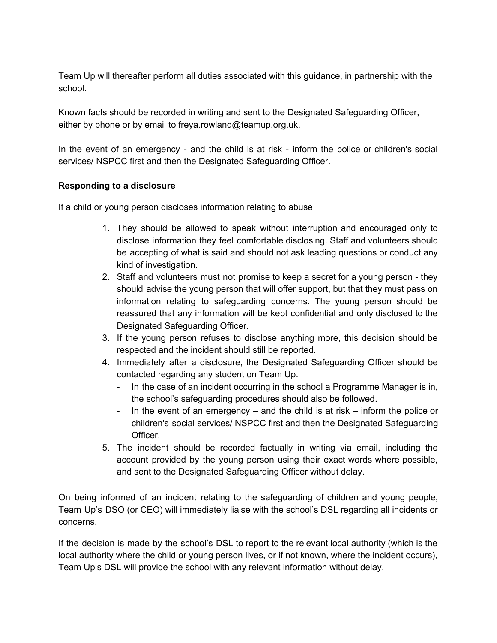Team Up will thereafter perform all duties associated with this guidance, in partnership with the school.

Known facts should be recorded in writing and sent to the Designated Safeguarding Officer, either by phone or by email to freya.rowland@teamup.org.uk.

In the event of an emergency - and the child is at risk - inform the police or children's social services/ NSPCC first and then the Designated Safeguarding Officer.

## **Responding to a disclosure**

If a child or young person discloses information relating to abuse

- 1. They should be allowed to speak without interruption and encouraged only to disclose information they feel comfortable disclosing. Staff and volunteers should be accepting of what is said and should not ask leading questions or conduct any kind of investigation.
- 2. Staff and volunteers must not promise to keep a secret for a young person they should advise the young person that will offer support, but that they must pass on information relating to safeguarding concerns. The young person should be reassured that any information will be kept confidential and only disclosed to the Designated Safeguarding Officer.
- 3. If the young person refuses to disclose anything more, this decision should be respected and the incident should still be reported.
- 4. Immediately after a disclosure, the Designated Safeguarding Officer should be contacted regarding any student on Team Up.
	- In the case of an incident occurring in the school a Programme Manager is in, the school's safeguarding procedures should also be followed.
	- In the event of an emergency and the child is at risk inform the police or children's social services/ NSPCC first and then the Designated Safeguarding Officer.
- 5. The incident should be recorded factually in writing via email, including the account provided by the young person using their exact words where possible, and sent to the Designated Safeguarding Officer without delay.

On being informed of an incident relating to the safeguarding of children and young people, Team Up's DSO (or CEO) will immediately liaise with the school's DSL regarding all incidents or concerns.

If the decision is made by the school's DSL to report to the relevant local authority (which is the local authority where the child or young person lives, or if not known, where the incident occurs), Team Up's DSL will provide the school with any relevant information without delay.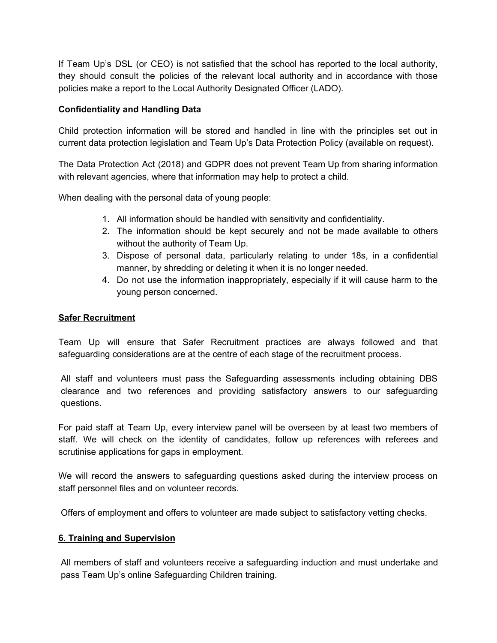If Team Up's DSL (or CEO) is not satisfied that the school has reported to the local authority, they should consult the policies of the relevant local authority and in accordance with those policies make a report to the Local Authority Designated Officer (LADO).

### **Confidentiality and Handling Data**

Child protection information will be stored and handled in line with the principles set out in current data protection legislation and Team Up's Data Protection Policy (available on request).

The Data Protection Act (2018) and GDPR does not prevent Team Up from sharing information with relevant agencies, where that information may help to protect a child.

When dealing with the personal data of young people:

- 1. All information should be handled with sensitivity and confidentiality.
- 2. The information should be kept securely and not be made available to others without the authority of Team Up.
- 3. Dispose of personal data, particularly relating to under 18s, in a confidential manner, by shredding or deleting it when it is no longer needed.
- 4. Do not use the information inappropriately, especially if it will cause harm to the young person concerned.

#### **Safer Recruitment**

Team Up will ensure that Safer Recruitment practices are always followed and that safeguarding considerations are at the centre of each stage of the recruitment process.

All staff and volunteers must pass the Safeguarding assessments including obtaining DBS clearance and two references and providing satisfactory answers to our safeguarding questions.

For paid staff at Team Up, every interview panel will be overseen by at least two members of staff. We will check on the identity of candidates, follow up references with referees and scrutinise applications for gaps in employment.

We will record the answers to safeguarding questions asked during the interview process on staff personnel files and on volunteer records.

Offers of employment and offers to volunteer are made subject to satisfactory vetting checks.

#### **6. Training and Supervision**

All members of staff and volunteers receive a safeguarding induction and must undertake and pass Team Up's online Safeguarding Children training.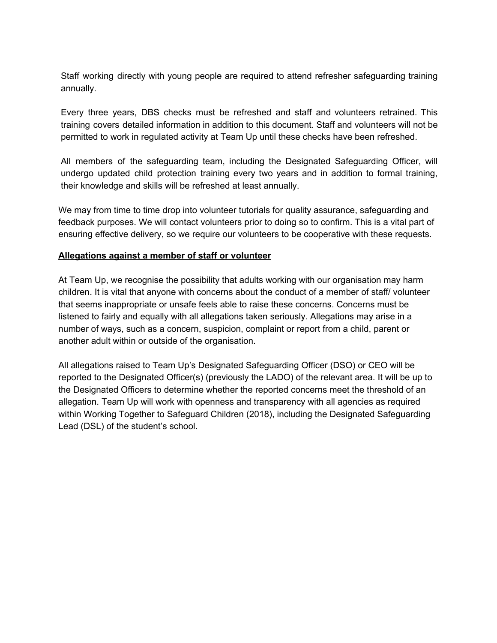Staff working directly with young people are required to attend refresher safeguarding training annually.

Every three years, DBS checks must be refreshed and staff and volunteers retrained. This training covers detailed information in addition to this document. Staff and volunteers will not be permitted to work in regulated activity at Team Up until these checks have been refreshed.

All members of the safeguarding team, including the Designated Safeguarding Officer, will undergo updated child protection training every two years and in addition to formal training, their knowledge and skills will be refreshed at least annually.

We may from time to time drop into volunteer tutorials for quality assurance, safeguarding and feedback purposes. We will contact volunteers prior to doing so to confirm. This is a vital part of ensuring effective delivery, so we require our volunteers to be cooperative with these requests.

#### **Allegations against a member of staff or volunteer**

At Team Up, we recognise the possibility that adults working with our organisation may harm children. It is vital that anyone with concerns about the conduct of a member of staff/ volunteer that seems inappropriate or unsafe feels able to raise these concerns. Concerns must be listened to fairly and equally with all allegations taken seriously. Allegations may arise in a number of ways, such as a concern, suspicion, complaint or report from a child, parent or another adult within or outside of the organisation.

All allegations raised to Team Up's Designated Safeguarding Officer (DSO) or CEO will be reported to the Designated Officer(s) (previously the LADO) of the relevant area. It will be up to the Designated Officers to determine whether the reported concerns meet the threshold of an allegation. Team Up will work with openness and transparency with all agencies as required within Working Together to Safeguard Children (2018), including the Designated Safeguarding Lead (DSL) of the student's school.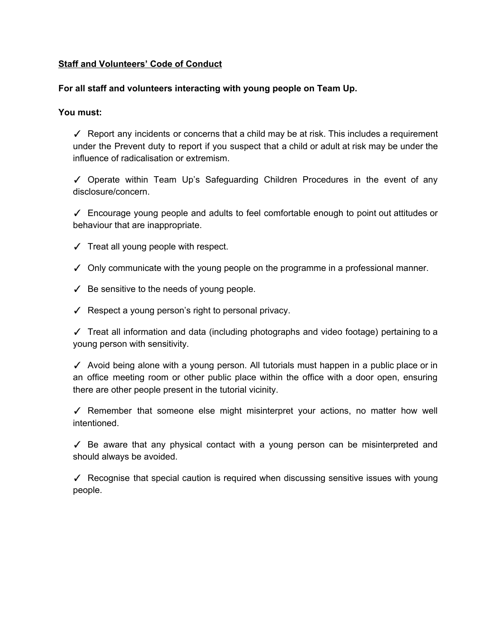#### **Staff and Volunteers' Code of Conduct**

#### **For all staff and volunteers interacting with young people on Team Up.**

#### **You must:**

✓ Report any incidents or concerns that a child may be at risk. This includes a requirement under the Prevent duty to report if you suspect that a child or adult at risk may be under the influence of radicalisation or extremism.

✓ Operate within Team Up's Safeguarding Children Procedures in the event of any disclosure/concern.

✓ Encourage young people and adults to feel comfortable enough to point out attitudes or behaviour that are inappropriate.

- ✓ Treat all young people with respect.
- ✓ Only communicate with the young people on the programme in a professional manner.
- $\checkmark$  Be sensitive to the needs of young people.
- ✓ Respect a young person's right to personal privacy.

✓ Treat all information and data (including photographs and video footage) pertaining to a young person with sensitivity.

✓ Avoid being alone with a young person. All tutorials must happen in a public place or in an office meeting room or other public place within the office with a door open, ensuring there are other people present in the tutorial vicinity.

✓ Remember that someone else might misinterpret your actions, no matter how well intentioned.

✓ Be aware that any physical contact with a young person can be misinterpreted and should always be avoided.

✓ Recognise that special caution is required when discussing sensitive issues with young people.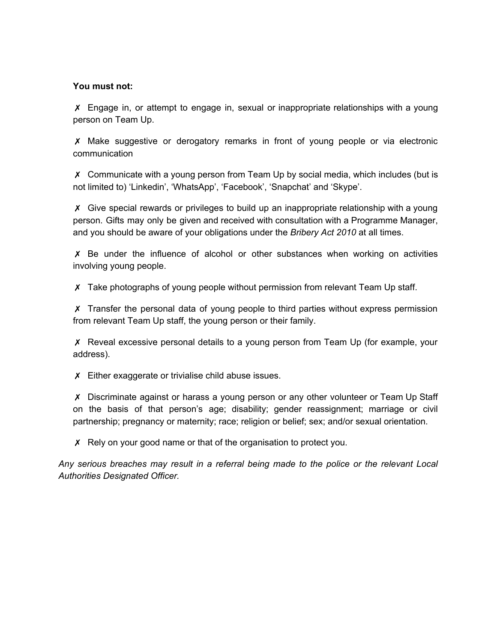#### **You must not:**

✗ Engage in, or attempt to engage in, sexual or inappropriate relationships with a young person on Team Up.

✗ Make suggestive or derogatory remarks in front of young people or via electronic communication

✗ Communicate with a young person from Team Up by social media, which includes (but is not limited to) 'Linkedin', 'WhatsApp', 'Facebook', 'Snapchat' and 'Skype'.

✗ Give special rewards or privileges to build up an inappropriate relationship with a young person. Gifts may only be given and received with consultation with a Programme Manager, and you should be aware of your obligations under the *Bribery Act 2010* at all times.

✗ Be under the influence of alcohol or other substances when working on activities involving young people.

✗ Take photographs of young people without permission from relevant Team Up staff.

✗ Transfer the personal data of young people to third parties without express permission from relevant Team Up staff, the young person or their family.

✗ Reveal excessive personal details to a young person from Team Up (for example, your address).

✗ Either exaggerate or trivialise child abuse issues.

✗ Discriminate against or harass a young person or any other volunteer or Team Up Staff on the basis of that person's age; disability; gender reassignment; marriage or civil partnership; pregnancy or maternity; race; religion or belief; sex; and/or sexual orientation.

✗ Rely on your good name or that of the organisation to protect you.

*Any serious breaches may result in a referral being made to the police or the relevant Local Authorities Designated Officer.*